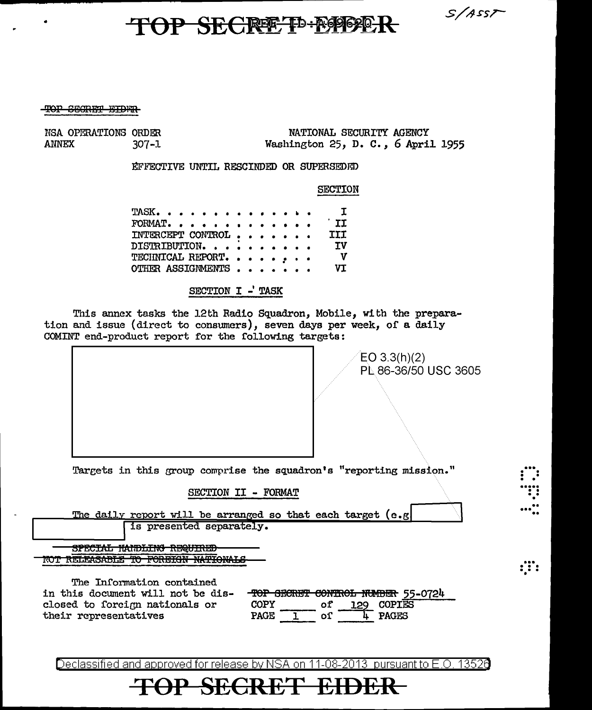TOP SECRET<sup>D-ROOD</sup>R

 $S/ASS$ 

#### TOP SECRET EIDER

•

NSA OPERATIONS ORDER<br>ANNEX 307-1  $307 - 1$ 

NATIONAL SECURITY AGENCY Washington 25, D. C. *,* 6 April 1955

fil'l!"'ECTIVE UNTIL RESCINDED OR SUPERSEDIID

### SECTION

| TASK. I           |  |  |  |  |                           |
|-------------------|--|--|--|--|---------------------------|
| FORMAT.           |  |  |  |  | II                        |
| INTERCEPT CONTROL |  |  |  |  | <b>TIT</b>                |
| DISTRIBUTION.     |  |  |  |  | <b>TV</b>                 |
| TECHNICAL REPORT. |  |  |  |  | $\mathbf{v}$<br><b>VT</b> |
| OTHER ASSIGNMENTS |  |  |  |  |                           |

SECTION I -' TASK

This annex tasks the 12th Radio Squadron, Mobile, with the preparation and issue {direct to consumers), seven days per week, of a daily COMINT end-product report for the following targets:

| $EO$ 3.3(h)(2)                                                                          | PL 86-36/50 USC 3605 |
|-----------------------------------------------------------------------------------------|----------------------|
|                                                                                         |                      |
|                                                                                         |                      |
| Targets in this group comprise the squadron's "reporting mission."                      |                      |
| SECTION II - FORMAT                                                                     |                      |
| The daily report will be arranged so that each target (e.g)<br>is presented separately. |                      |
| חהורדווחות וארד וחו<br>TRUDULIV REGULAR                                                 |                      |
| <b>EADETAN MARTAMAT C</b><br><b>KELLMOADLE</b><br><b>IV TUNITION</b>                    |                      |

The Information contained in this document will not be dis-

closed to forcign nationals or

their representatives

|      |  | TOP SECRET CONTROL NUMBER 55-0724 |  |
|------|--|-----------------------------------|--|
| COPY |  | <b>COPTES</b>                     |  |
|      |  | ACES                              |  |

Declassified and approved for release by NSA on 11-08-2013 pursuant to E.O. 13520

## **TOP SECRET EIDER**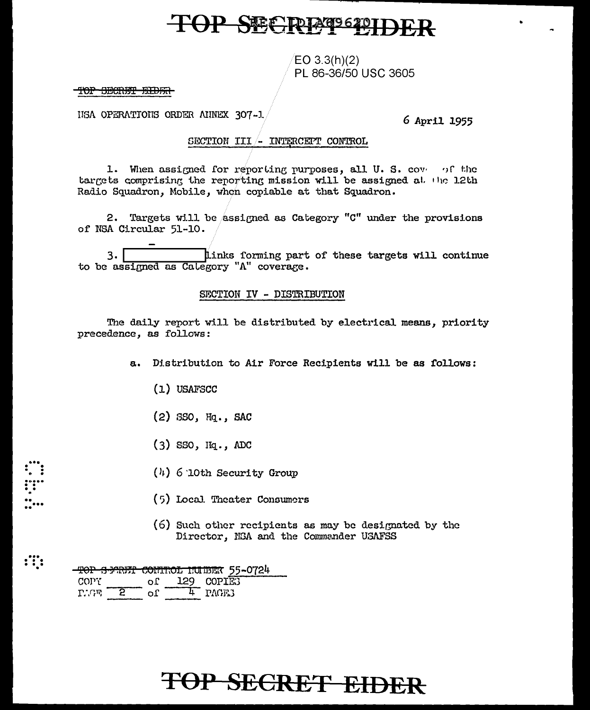## **TOP SECIPIESSE**

 $EO 3.3(h)(2)$ PL 86-36/50 USC 3605

### TOP SECRET EIDER

IISA OPERATIONS ORDER AINEX 307-1.

6 April 1955

### SECTION III - INTERCEPT CONTROL

1. When assigned for reporting purposes, all U.S. covered the targets comprising the reporting mission will be assigned at the 12th Radio Squadron, Mobile, when copiable at that Squadron.

2. Targets will be assigned as Category "C" under the provisions of NSA Circular 51-10.

links forming part of these targets will continue  $3.$ to be assigned as Calegory "A" coverage.

### SECTION IV - DISTRIBUTION

The daily report will be distributed by electrical means, priority precedence, as follows:

a. Distribution to Air Force Recipients will be as follows:

- $(1)$  USAFSCC
- (2) SSO, Hq., SAC
- $(3)$  SSO,  $Hq$ ., ADC
- $(4)$  6 10th Security Group
- (5) Local Theater Consumers
- (6) Such other recipients as may be designated by the Director, NSA and the Commander USAFSS

|                       |  |               | <del>-TOP S-MRET CONTROL ITUBER</del> 55-0724 |  |
|-----------------------|--|---------------|-----------------------------------------------|--|
| COPY.                 |  | of 129 COPIE3 |                                               |  |
| $T^*$ $G\overline{n}$ |  |               | י היאמים 4                                    |  |

 $\mathbf{ii}$ 

# OP SECRET EIDER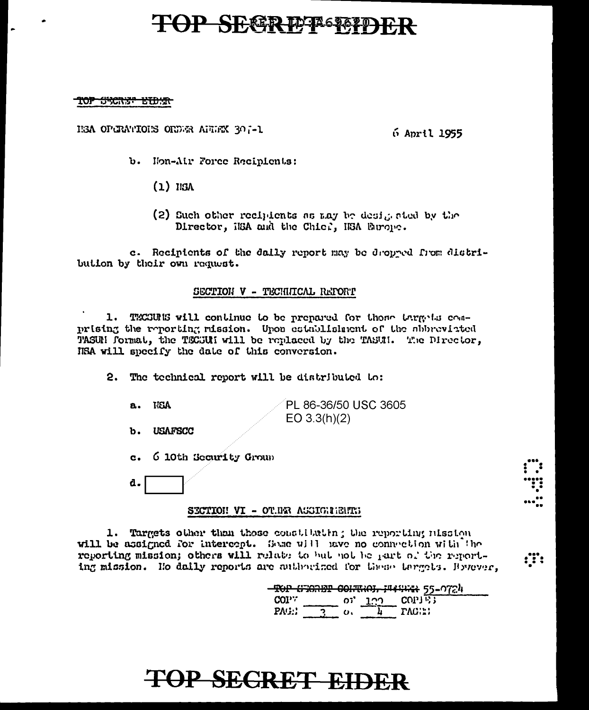## **TOP SEGRETA STAP**

#### TOP <del>SYCREP ETDER</del>

HEA OPERATIONS ONLYR ALLEX 307-1

6 April 1955

- b. Hon-Air Force Recipients:
	- $(1)$  ISA
	- (2) Such other recipients as any be desigented by the Director, iEA and the Chief, HSA Europe.

c. Recipients of the daily report may be dropped from distribution by their own request.

#### SECTION V - TECHNICAL REPORT

1. TECEURE will continue to be prepared for these targets conprising the reporting mission. Upon establishment of the abbreviated TASUN format, the TECSUN will be replaced by the TASUN. The Director, IISA will specify the date of this conversion.

2. The technical report will be distributed to:

- **NEX** PL 86-36/50 USC 3605  $EO 3.3(h)(2)$
- **USAFSCC**  $<sub>b</sub>$ .</sub>

**a.** 

- 6 10th Security Group  $\mathbf{c}$ .
- d.

#### SECTION VI - OTHER ASSIGNMENTS

1. Targets other than those constituting the reporting mission will be assigned for intercept. Some will nave no connection with the reporting mission; others will relate to but not be part of the reporting mission. Ho daily reports are authorized for these targets. However,

|       |     |     | TOP UTGREEP CONTROL INSURE 55-0724 |
|-------|-----|-----|------------------------------------|
|       |     |     |                                    |
| cov:  | ດນັ | הרד | COPTE:                             |
| PAG.: |     |     |                                    |
|       |     |     | <b>TAGILI</b>                      |

:T:

# **TOP SEGRET EIDER**